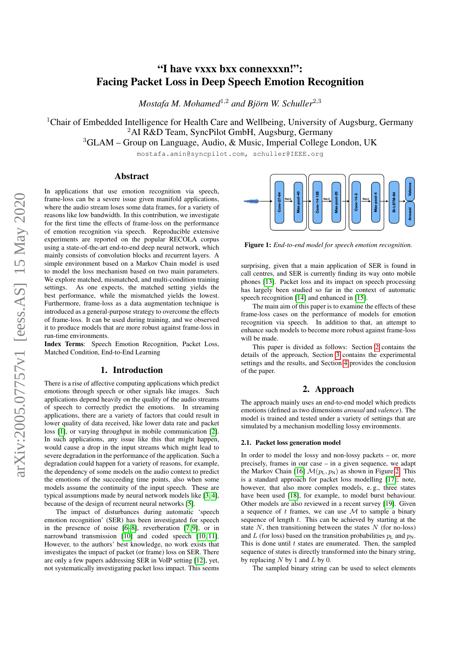# "I have vxxx bxx connexxxn!": Facing Packet Loss in Deep Speech Emotion Recognition

*Mostafa M. Mohamed<sup>1,2</sup> and Björn W. Schuller<sup>2,3</sup>* 

<sup>1</sup>Chair of Embedded Intelligence for Health Care and Wellbeing, University of Augsburg, Germany <sup>2</sup>AI R&D Team, SyncPilot GmbH, Augsburg, Germany

<sup>3</sup>GLAM – Group on Language, Audio, & Music, Imperial College London, UK

mostafa.amin@syncpilot.com, schuller@IEEE.org

# Abstract

In applications that use emotion recognition via speech, frame-loss can be a severe issue given manifold applications, where the audio stream loses some data frames, for a variety of reasons like low bandwidth. In this contribution, we investigate for the first time the effects of frame-loss on the performance of emotion recognition via speech. Reproducible extensive experiments are reported on the popular RECOLA corpus using a state-of-the-art end-to-end deep neural network, which mainly consists of convolution blocks and recurrent layers. A simple environment based on a Markov Chain model is used to model the loss mechanism based on two main parameters. We explore matched, mismatched, and multi-condition training settings. As one expects, the matched setting yields the best performance, while the mismatched yields the lowest. Furthermore, frame-loss as a data augmentation technique is introduced as a general-purpose strategy to overcome the effects of frame-loss. It can be used during training, and we observed it to produce models that are more robust against frame-loss in run-time environments.

Index Terms: Speech Emotion Recognition, Packet Loss, Matched Condition, End-to-End Learning

# 1. Introduction

There is a rise of affective computing applications which predict emotions through speech or other signals like images. Such applications depend heavily on the quality of the audio streams of speech to correctly predict the emotions. In streaming applications, there are a variety of factors that could result in lower quality of data received, like lower data rate and packet loss [\[1\]](#page-4-0), or varying throughput in mobile communication [\[2\]](#page-4-1). In such applications, any issue like this that might happen, would cause a drop in the input streams which might lead to severe degradation in the performance of the application. Such a degradation could happen for a variety of reasons, for example, the dependency of some models on the audio context to predict the emotions of the succeeding time points, also when some models assume the continuity of the input speech. These are typical assumptions made by neural network models like [\[3,](#page-4-2) [4\]](#page-4-3), because of the design of recurrent neural networks [\[5\]](#page-4-4).

The impact of disturbances during automatic 'speech emotion recognition' (SER) has been investigated for speech in the presence of noise [\[6](#page-4-5)[–8\]](#page-4-6), reverberation [\[7,](#page-4-7) [9\]](#page-4-8), or in narrowband transmission [\[10\]](#page-4-9) and coded speech [\[10,](#page-4-9) [11\]](#page-4-10). However, to the authors' best knowledge, no work exists that investigates the impact of packet (or frame) loss on SER. There are only a few papers addressing SER in VoIP setting [\[12\]](#page-4-11), yet, not systematically investigating packet loss impact. This seems

<span id="page-0-1"></span>

Figure 1: *End-to-end model for speech emotion recognition.*

surprising, given that a main application of SER is found in call centres, and SER is currently finding its way onto mobile phones [\[13\]](#page-4-12). Packet loss and its impact on speech processing has largely been studied so far in the context of automatic speech recognition [\[14\]](#page-4-13) and enhanced in [\[15\]](#page-4-14).

The main aim of this paper is to examine the effects of these frame-loss cases on the performance of models for emotion recognition via speech. In addition to that, an attempt to enhance such models to become more robust against frame-loss will be made.

This paper is divided as follows: Section [2](#page-0-0) contains the details of the approach, Section [3](#page-1-0) contains the experimental settings and the results, and Section [4](#page-3-0) provides the conclusion of the paper.

# 2. Approach

<span id="page-0-0"></span>The approach mainly uses an end-to-end model which predicts emotions (defined as two dimensions *arousal* and *valence*). The model is trained and tested under a variety of settings that are simulated by a mechanism modelling lossy environments.

#### 2.1. Packet loss generation model

In order to model the lossy and non-lossy packets – or, more precisely, frames in our case – in a given sequence, we adapt the Markov Chain [\[16\]](#page-4-15)  $\mathcal{M}(p_{\text{L}}, p_{\text{N}})$  as shown in Figure [2.](#page-1-1) This is a standard approach for packet loss modelling [\[17\]](#page-4-16); note, however, that also more complex models, e. g., three states have been used [\[18\]](#page-4-17), for example, to model burst behaviour. Other models are also reviewed in a recent survey [\[19\]](#page-4-18). Given a sequence of t frames, we can use  $M$  to sample a binary sequence of length  $t$ . This can be achieved by starting at the state  $N$ , then transitioning between the states  $N$  (for no-loss) and L (for loss) based on the transition probabilities  $p<sub>L</sub>$  and  $p<sub>N</sub>$ . This is done until  $t$  states are enumerated. Then, the sampled sequence of states is directly transformed into the binary string, by replacing  $N$  by 1 and  $L$  by 0.

The sampled binary string can be used to select elements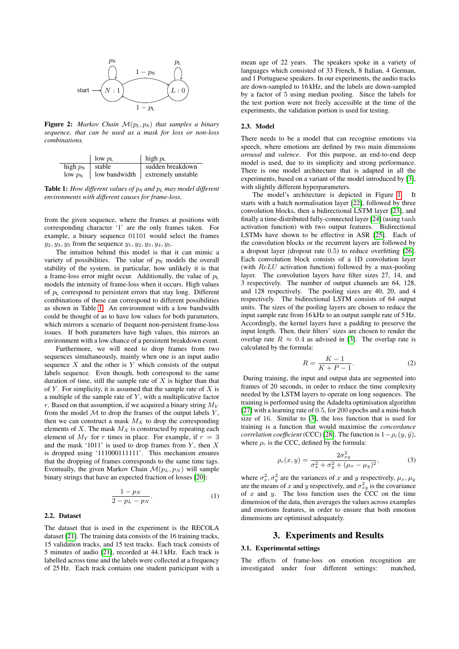<span id="page-1-1"></span>

Figure 2: *Markov Chain*  $\mathcal{M}(p_L, p_N)$  *that samples a binary sequence, that can be used as a mask for loss or non-loss combinations.*

<span id="page-1-2"></span>

|                                 | low $p_L$ | high $p_L$                         |
|---------------------------------|-----------|------------------------------------|
| high $p_N$   stable             |           | sudden breakdown                   |
| $\frac{\partial w}{\partial x}$ |           | low bandwidth   extremely unstable |

Table 1: *How different values of*  $p_N$  *and*  $p_L$  *may model different environments with different causes for frame-loss.*

from the given sequence, where the frames at positions with corresponding character '1' are the only frames taken. For example, a binary sequence 01101 would select the frames  $y_2, y_3, y_5$  from the sequence  $y_1, y_2, y_3, y_4, y_5$ .

The intuition behind this model is that it can mimic a variety of possibilities. The value of  $p_N$  models the overall stability of the system, in particular, how unlikely it is that a frame-loss error might occur. Additionally, the value of  $p<sub>L</sub>$ models the intensity of frame-loss when it occurs. High values of  $p_L$  correspond to persistent errors that stay long. Different combinations of these can correspond to different possibilities as shown in Table [1.](#page-1-2) An environment with a low bandwidth could be thought of as to have low values for both parameters, which mirrors a scenario of frequent non-persistent frame-loss issues. If both parameters have high values, this mirrors an environment with a low chance of a persistent breakdown event.

Furthermore, we will need to drop frames from two sequences simultaneously, mainly when one is an input audio sequence  $X$  and the other is  $Y$  which consists of the output labels sequence. Even though, both correspond to the same duration of time, still the sample rate of  $X$  is higher than that of  $Y$ . For simplicity, it is assumed that the sample rate of  $X$  is a multiple of the sample rate of  $Y$ , with a multiplicative factor r. Based on that assumption, if we acquired a binary string  $M_Y$ from the model  $M$  to drop the frames of the output labels  $Y$ , then we can construct a mask  $M_X$  to drop the corresponding elements of  $X$ . The mask  $M_X$  is constructed by repeating each element of  $M_Y$  for r times in place. For example, if  $r = 3$ and the mask '1011' is used to drop frames from  $Y$ , then  $X$ is dropped using '111000111111'. This mechanism ensures that the dropping of frames corresponds to the same time tags. Eventually, the given Markov Chain  $\mathcal{M}(p_L, p_N)$  will sample binary strings that have an expected fraction of losses [\[20\]](#page-4-19):

$$
\frac{1-p_N}{2-p_L-p_N}.\tag{1}
$$

#### 2.2. Dataset

The dataset that is used in the experiment is the RECOLA dataset [\[21\]](#page-4-20). The training data consists of the 16 training tracks, 15 validation tracks, and 15 test tracks. Each track consists of 5 minutes of audio [\[21\]](#page-4-20), recorded at 44.1 kHz. Each track is labelled across time and the labels were collected at a frequency of 25 Hz. Each track contains one student participant with a

mean age of 22 years. The speakers spoke in a variety of languages which consisted of 33 French, 8 Italian, 4 German, and 1 Portuguese speakers. In our experiments, the audio tracks are down-sampled to 16 kHz, and the labels are down-sampled by a factor of 5 using median pooling. Since the labels for the test portion were not freely accessible at the time of the experiments, the validation portion is used for testing.

#### 2.3. Model

There needs to be a model that can recognise emotions via speech, where emotions are defined by two main dimensions *arousal* and *valence*. For this purpose, an end-to-end deep model is used, due to its simplicity and strong performance. There is one model architecture that is adapted in all the experiments, based on a variant of the model introduced by [\[3\]](#page-4-2), with slightly different hyperparameters.

The model's architecture is depicted in Figure [1.](#page-0-1) It starts with a batch normalisation layer [\[22\]](#page-4-21), followed by three convolution blocks, then a bidirectional LSTM layer [\[23\]](#page-4-22), and finally a time-distributed fully-connected layer [\[24\]](#page-4-23) (using tanh activation function) with two output features. Bidirectional LSTMs have shown to be effective in ASR [\[25\]](#page-4-24). Each of the convolution blocks or the recurrent layers are followed by a dropout layer (dropout rate 0.5) to reduce overfitting [\[26\]](#page-4-25). Each convolution block consists of a 1D convolution layer (with ReLU activation function) followed by a max-pooling layer. The convolution layers have filter sizes 27, 14, and 3 respectively. The number of output channels are 64, 128, and 128 respectively. The pooling sizes are 40, 20, and 4 respectively. The bidirectional LSTM consists of 64 output units. The sizes of the pooling layers are chosen to reduce the input sample rate from 16 kHz to an output sample rate of 5 Hz. Accordingly, the kernel layers have a padding to preserve the input length. Then, their filters' sizes are chosen to render the overlap rate  $R \approx 0.4$  as advised in [\[3\]](#page-4-2). The overlap rate is calculated by the formula:

$$
R = \frac{K - 1}{K + P - 1}.\tag{2}
$$

During training, the input and output data are segmented into frames of 20 seconds, in order to reduce the time complexity needed by the LSTM layers to operate on long sequences. The training is performed using the Adadelta optimisation algorithm [\[27\]](#page-4-26) with a learning rate of 0.5, for 200 epochs and a mini-batch size of 16. Similar to [\[3\]](#page-4-2), the loss function that is used for training is a function that would maximise the *concordance correlation coefficient* (CCC) [\[28\]](#page-4-27). The function is  $1 - \rho_c(y, \hat{y})$ , where  $\rho_c$  is the CCC, defined by the formula:

<span id="page-1-3"></span>
$$
\rho_c(x,y) = \frac{2\sigma_{xy}^2}{\sigma_x^2 + \sigma_y^2 + (\mu_x - \mu_y)^2},
$$
\n(3)

where  $\sigma_x^2$ ,  $\sigma_y^2$  are the variances of x and y respectively,  $\mu_x$ ,  $\mu_y$ are the means of x and y respectively, and  $\sigma_{xy}^2$  is the covariance of x and y. The loss function uses the CCC on the time dimension of the data, then averages the values across examples and emotions features, in order to ensure that both emotion dimensions are optimised adequately.

# 3. Experiments and Results

#### <span id="page-1-0"></span>3.1. Experimental settings

The effects of frame-loss on emotion recognition are investigated under four different settings: matched,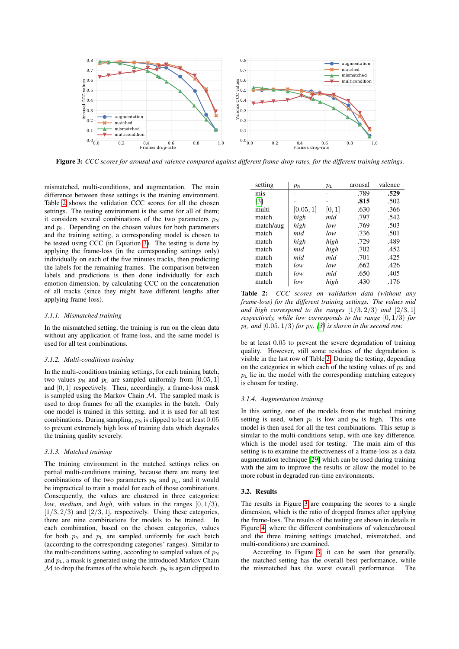<span id="page-2-1"></span>

Figure 3: *CCC scores for arousal and valence compared against different frame-drop rates, for the different training settings.*

mismatched, multi-conditions, and augmentation. The main difference between these settings is the training environment. Table [2](#page-2-0) shows the validation CCC scores for all the chosen settings. The testing environment is the same for all of them; it considers several combinations of the two parameters  $p_N$ and  $p_L$ . Depending on the chosen values for both parameters and the training setting, a corresponding model is chosen to be tested using CCC (in Equation [3\)](#page-1-3). The testing is done by applying the frame-loss (in the corresponding settings only) individually on each of the five minutes tracks, then predicting the labels for the remaining frames. The comparison between labels and predictions is then done individually for each emotion dimension, by calculating CCC on the concatenation of all tracks (since they might have different lengths after applying frame-loss).

## *3.1.1. Mismatched training*

In the mismatched setting, the training is run on the clean data without any application of frame-loss, and the same model is used for all test combinations.

## *3.1.2. Multi-conditions training*

In the multi-conditions training settings, for each training batch, two values  $p_N$  and  $p_L$  are sampled uniformly from [0.05, 1] and  $[0, 1]$  respectively. Then, accordingly, a frame-loss mask is sampled using the Markov Chain  $M$ . The sampled mask is used to drop frames for all the examples in the batch. Only one model is trained in this setting, and it is used for all test combinations. During sampling,  $p_N$  is clipped to be at least 0.05 to prevent extremely high loss of training data which degrades the training quality severely.

## *3.1.3. Matched training*

The training environment in the matched settings relies on partial multi-conditions training, because there are many test combinations of the two parameters  $p_N$  and  $p_L$ , and it would be impractical to train a model for each of those combinations. Consequently, the values are clustered in three categories: *low, medium, and high, with values in the ranges*  $[0, 1/3)$ ,  $[1/3, 2/3)$  and  $[2/3, 1]$ , respectively. Using these categories, there are nine combinations for models to be trained. In each combination, based on the chosen categories, values for both  $p_N$  and  $p_L$  are sampled uniformly for each batch (according to the corresponding categories' ranges). Similar to the multi-conditions setting, according to sampled values of  $p_N$ and  $p_L$ , a mask is generated using the introduced Markov Chain  $M$  to drop the frames of the whole batch.  $p_N$  is again clipped to

<span id="page-2-0"></span>

| setting           | $p_{\rm N}$ | $p_{\rm L}$ | arousal | valence |
|-------------------|-------------|-------------|---------|---------|
| mis               |             |             | .789    | .529    |
| $\lceil 3 \rceil$ |             |             | .815    | .502    |
| multi             | [0.05, 1]   | [0,1]       | .630    | .366    |
| match             | high        | mid         | .797    | .542    |
| match/aug         | high        | low         | .769    | .503    |
| match             | mid         | low         | .736    | .501    |
| match             | high        | high        | .729    | .489    |
| match             | mid         | high        | .702    | .452    |
| match             | mid         | mid         | .701    | .425    |
| match             | low         | low         | .662    | .426    |
| match             | low         | mid         | .650    | .405    |
| match             | low         | high        | .430    | .176    |

Table 2: *CCC scores on validation data (without any frame-loss) for the different training settings. The values mid and high correspond to the ranges*  $[1/3, 2/3)$  *and*  $[2/3, 1]$ *respectively, while low corresponds to the range* [0, 1/3) *for*  $p_L$ *, and* [0.05, 1/3] *for*  $p_N$ *. [\[3\]](#page-4-2) is shown in the second row.* 

be at least 0.05 to prevent the severe degradation of training quality. However, still some residues of the degradation is visible in the last row of Table [2.](#page-2-0) During the testing, depending on the categories in which each of the testing values of  $p_N$  and  $p<sub>L</sub>$  lie in, the model with the corresponding matching category is chosen for testing.

#### *3.1.4. Augmentation training*

In this setting, one of the models from the matched training setting is used, when  $p_L$  is low and  $p_N$  is high. This one model is then used for all the test combinations. This setup is similar to the multi-conditions setup, with one key difference, which is the model used for testing. The main aim of this setting is to examine the effectiveness of a frame-loss as a data augmentation technique [\[29\]](#page-4-28) which can be used during training with the aim to improve the results or allow the model to be more robust in degraded run-time environments.

### 3.2. Results

The results in Figure [3](#page-2-1) are comparing the scores to a single dimension, which is the ratio of dropped frames after applying the frame-loss. The results of the testing are shown in details in Figure [4,](#page-3-1) where the different combinations of valence/arousal and the three training settings (matched, mismatched, and multi-conditions) are examined.

According to Figure [3,](#page-2-1) it can be seen that generally, the matched setting has the overall best performance, while the mismatched has the worst overall performance. The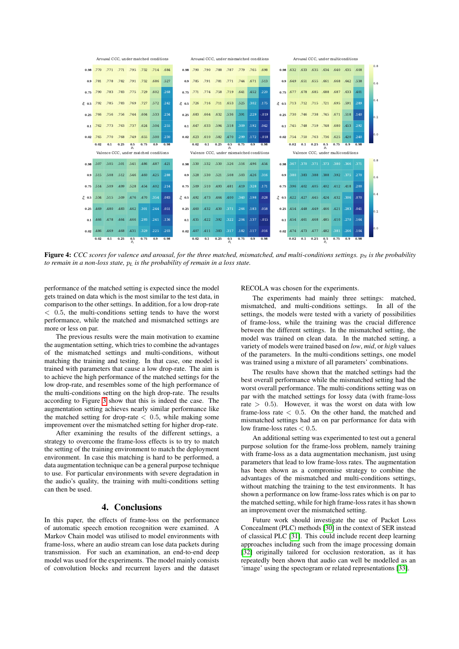<span id="page-3-1"></span>

Figure 4: *CCC* scores for valence and arousal, for the three matched, mismatched, and multi-conditions settings.  $p_N$  is the probability *to remain in a non-loss state,* p*<sup>L</sup> is the probability of remain in a loss state.*

performance of the matched setting is expected since the model gets trained on data which is the most similar to the test data, in comparison to the other settings. In addition, for a low drop-rate  $<$  0.5, the multi-conditions setting tends to have the worst performance, while the matched and mismatched settings are more or less on par.

The previous results were the main motivation to examine the augmentation setting, which tries to combine the advantages of the mismatched settings and multi-conditions, without matching the training and testing. In that case, one model is trained with parameters that cause a low drop-rate. The aim is to achieve the high performance of the matched settings for the low drop-rate, and resembles some of the high performance of the multi-conditions setting on the high drop-rate. The results according to Figure [3](#page-2-1) show that this is indeed the case. The augmentation setting achieves nearly similar performance like the matched setting for drop-rate  $< 0.5$ , while making some improvement over the mismatched setting for higher drop-rate.

After examining the results of the different settings, a strategy to overcome the frame-loss effects is to try to match the setting of the training environment to match the deployment environment. In case this matching is hard to be performed, a data augmentation technique can be a general purpose technique to use. For particular environments with severe degradation in the audio's quality, the training with multi-conditions setting can then be used.

# 4. Conclusions

<span id="page-3-0"></span>In this paper, the effects of frame-loss on the performance of automatic speech emotion recognition were examined. A Markov Chain model was utilised to model environments with frame-loss, where an audio stream can lose data packets during transmission. For such an examination, an end-to-end deep model was used for the experiments. The model mainly consists of convolution blocks and recurrent layers and the dataset

#### RECOLA was chosen for the experiments.

The experiments had mainly three settings: matched, mismatched, and multi-conditions settings. In all of the settings, the models were tested with a variety of possibilities of frame-loss, while the training was the crucial difference between the different settings. In the mismatched setting, the model was trained on clean data. In the matched setting, a variety of models were trained based on *low*, *mid*, or *high* values of the parameters. In the multi-conditions settings, one model was trained using a mixture of all parameters' combinations.

The results have shown that the matched settings had the best overall performance while the mismatched setting had the worst overall performance. The multi-conditions setting was on par with the matched settings for lossy data (with frame-loss rate  $> 0.5$ ). However, it was the worst on data with low frame-loss rate  $\langle 0.5, 0$ n the other hand, the matched and mismatched settings had an on par performance for data with low frame-loss rates  $< 0.5$ .

An additional setting was experimented to test out a general purpose solution for the frame-loss problem, namely training with frame-loss as a data augmentation mechanism, just using parameters that lead to low frame-loss rates. The augmentation has been shown as a compromise strategy to combine the advantages of the mismatched and multi-conditions settings, without matching the training to the test environments. It has shown a performance on low frame-loss rates which is on par to the matched setting, while for high frame-loss rates it has shown an improvement over the mismatched setting.

Future work should investigate the use of Packet Loss Concealment (PLC) methods [\[30\]](#page-4-29) in the context of SER instead of classical PLC [\[31\]](#page-4-30). This could include recent deep learning approaches including such from the image processing domain [\[32\]](#page-4-31) originally tailored for occlusion restoration, as it has repeatedly been shown that audio can well be modelled as an 'image' using the spectogram or related representations [\[33\]](#page-4-32).